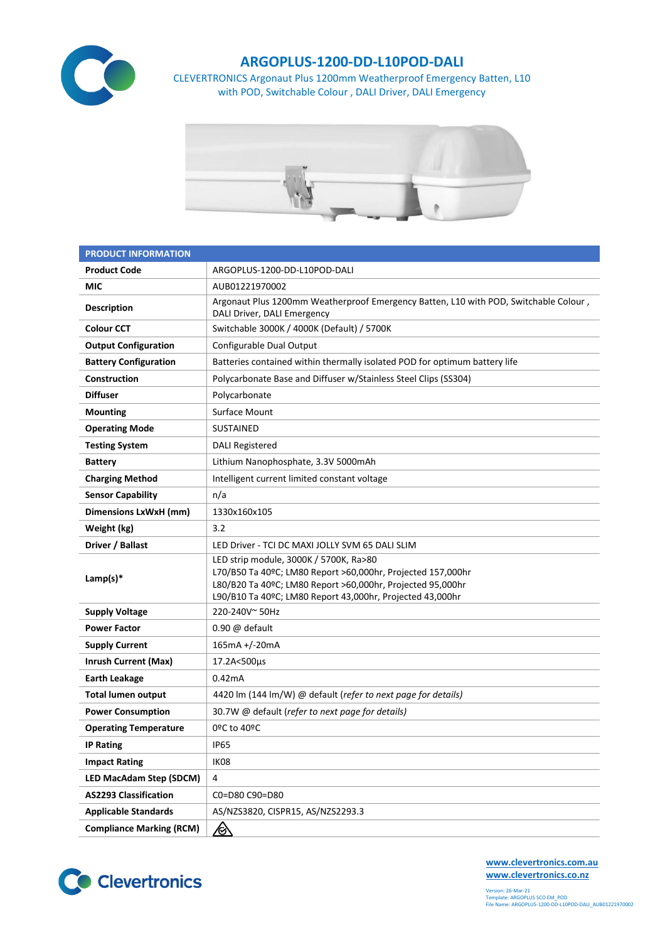

## **ARGOPLUS-1200-DD-L10POD-DALI**

CLEVERTRONICS Argonaut Plus 1200mm Weatherproof Emergency Batten, L10 with POD, Switchable Colour , DALI Driver, DALI Emergency



| <b>PRODUCT INFORMATION</b>      |                                                                                                                                                                                                                                  |  |  |  |  |
|---------------------------------|----------------------------------------------------------------------------------------------------------------------------------------------------------------------------------------------------------------------------------|--|--|--|--|
| <b>Product Code</b>             | ARGOPLUS-1200-DD-L10POD-DALI                                                                                                                                                                                                     |  |  |  |  |
| <b>MIC</b>                      | AUB01221970002                                                                                                                                                                                                                   |  |  |  |  |
| <b>Description</b>              | Argonaut Plus 1200mm Weatherproof Emergency Batten, L10 with POD, Switchable Colour,<br>DALI Driver, DALI Emergency                                                                                                              |  |  |  |  |
| <b>Colour CCT</b>               | Switchable 3000K / 4000K (Default) / 5700K                                                                                                                                                                                       |  |  |  |  |
| <b>Output Configuration</b>     | Configurable Dual Output                                                                                                                                                                                                         |  |  |  |  |
| <b>Battery Configuration</b>    | Batteries contained within thermally isolated POD for optimum battery life                                                                                                                                                       |  |  |  |  |
| Construction                    | Polycarbonate Base and Diffuser w/Stainless Steel Clips (SS304)                                                                                                                                                                  |  |  |  |  |
| <b>Diffuser</b>                 | Polycarbonate                                                                                                                                                                                                                    |  |  |  |  |
| <b>Mounting</b>                 | Surface Mount                                                                                                                                                                                                                    |  |  |  |  |
| <b>Operating Mode</b>           | <b>SUSTAINED</b>                                                                                                                                                                                                                 |  |  |  |  |
| <b>Testing System</b>           | <b>DALI Registered</b>                                                                                                                                                                                                           |  |  |  |  |
| <b>Battery</b>                  | Lithium Nanophosphate, 3.3V 5000mAh                                                                                                                                                                                              |  |  |  |  |
| <b>Charging Method</b>          | Intelligent current limited constant voltage                                                                                                                                                                                     |  |  |  |  |
| <b>Sensor Capability</b>        | n/a                                                                                                                                                                                                                              |  |  |  |  |
| <b>Dimensions LxWxH (mm)</b>    | 1330x160x105                                                                                                                                                                                                                     |  |  |  |  |
| Weight (kg)                     | 3.2                                                                                                                                                                                                                              |  |  |  |  |
| Driver / Ballast                | LED Driver - TCI DC MAXI JOLLY SVM 65 DALI SLIM                                                                                                                                                                                  |  |  |  |  |
| Lamp(s) $*$                     | LED strip module, 3000K / 5700K, Ra>80<br>L70/B50 Ta 40ºC; LM80 Report >60,000hr, Projected 157,000hr<br>L80/B20 Ta 40ºC; LM80 Report >60,000hr, Projected 95,000hr<br>L90/B10 Ta 40ºC; LM80 Report 43,000hr, Projected 43,000hr |  |  |  |  |
| <b>Supply Voltage</b>           | 220-240V~50Hz                                                                                                                                                                                                                    |  |  |  |  |
| <b>Power Factor</b>             | $0.90 \omega$ default                                                                                                                                                                                                            |  |  |  |  |
| <b>Supply Current</b>           | 165mA +/-20mA                                                                                                                                                                                                                    |  |  |  |  |
| <b>Inrush Current (Max)</b>     | 17.2A<500µs                                                                                                                                                                                                                      |  |  |  |  |
| <b>Earth Leakage</b>            | 0.42mA                                                                                                                                                                                                                           |  |  |  |  |
| <b>Total lumen output</b>       | 4420 lm (144 lm/W) @ default (refer to next page for details)                                                                                                                                                                    |  |  |  |  |
| <b>Power Consumption</b>        | 30.7W @ default (refer to next page for details)                                                                                                                                                                                 |  |  |  |  |
| <b>Operating Temperature</b>    | 0ºC to 40ºC                                                                                                                                                                                                                      |  |  |  |  |
| <b>IP Rating</b>                | <b>IP65</b>                                                                                                                                                                                                                      |  |  |  |  |
| <b>Impact Rating</b>            | IK08                                                                                                                                                                                                                             |  |  |  |  |
| <b>LED MacAdam Step (SDCM)</b>  | 4                                                                                                                                                                                                                                |  |  |  |  |
| <b>AS2293 Classification</b>    | C0=D80 C90=D80                                                                                                                                                                                                                   |  |  |  |  |
| <b>Applicable Standards</b>     | AS/NZS3820, CISPR15, AS/NZS2293.3                                                                                                                                                                                                |  |  |  |  |
| <b>Compliance Marking (RCM)</b> | <u>⁄⊗</u>                                                                                                                                                                                                                        |  |  |  |  |



**[www.clevertronics.com.au](http://www.clevertronics.com.au/) www.clevertronics.co.nz**

Version: 26-Mar-21 Template: ARGOPLUS SCO EM\_POD File Name: ARGOPLUS-1200-DD-L10POD-DALI\_AUB01221970002